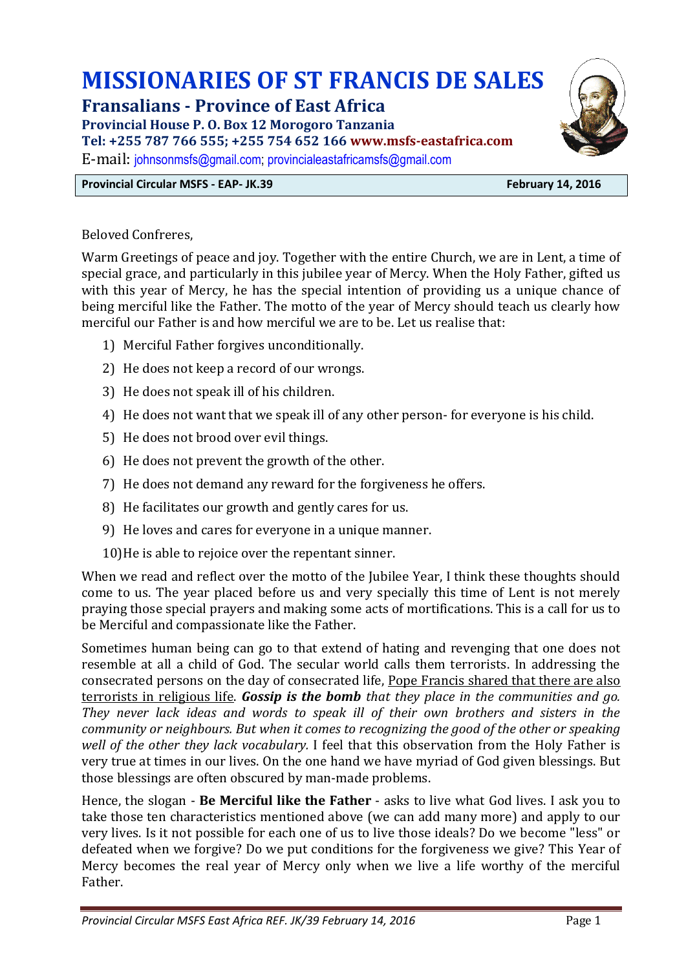# **MISSIONARIES OF ST FRANCIS DE SALES**

**Fransalians - Province of East Africa**

**Provincial House P. O. Box 12 Morogoro Tanzania** 

**Tel: +255 787 766 555; +255 754 652 166 www.msfs-eastafrica.com**

E-mail: [johnsonmsfs@gmail.com;](mailto:johnsonmsfs@gmail.com) [provincialeastafricamsfs@gmail.com](mailto:provincialeastafricamsfs@gmail.com)

# **Provincial Circular MSFS - EAP- JK.39 February 14, 2016**

Beloved Confreres,

Warm Greetings of peace and joy. Together with the entire Church, we are in Lent, a time of special grace, and particularly in this jubilee year of Mercy. When the Holy Father, gifted us with this year of Mercy, he has the special intention of providing us a unique chance of being merciful like the Father. The motto of the year of Mercy should teach us clearly how merciful our Father is and how merciful we are to be. Let us realise that:

- 1) Merciful Father forgives unconditionally.
- 2) He does not keep a record of our wrongs.
- 3) He does not speak ill of his children.
- 4) He does not want that we speak ill of any other person- for everyone is his child.
- 5) He does not brood over evil things.
- 6) He does not prevent the growth of the other.
- 7) He does not demand any reward for the forgiveness he offers.
- 8) He facilitates our growth and gently cares for us.
- 9) He loves and cares for everyone in a unique manner.
- 10)He is able to rejoice over the repentant sinner.

When we read and reflect over the motto of the Jubilee Year, I think these thoughts should come to us. The year placed before us and very specially this time of Lent is not merely praying those special prayers and making some acts of mortifications. This is a call for us to be Merciful and compassionate like the Father.

Sometimes human being can go to that extend of hating and revenging that one does not resemble at all a child of God. The secular world calls them terrorists. In addressing the consecrated persons on the day of consecrated life, Pope Francis shared that there are also terrorists in religious life. *Gossip is the bomb that they place in the communities and go. They never lack ideas and words to speak ill of their own brothers and sisters in the community or neighbours. But when it comes to recognizing the good of the other or speaking well of the other they lack vocabulary.* I feel that this observation from the Holy Father is very true at times in our lives. On the one hand we have myriad of God given blessings. But those blessings are often obscured by man-made problems.

Hence, the slogan - **Be Merciful like the Father** - asks to live what God lives. I ask you to take those ten characteristics mentioned above (we can add many more) and apply to our very lives. Is it not possible for each one of us to live those ideals? Do we become "less" or defeated when we forgive? Do we put conditions for the forgiveness we give? This Year of Mercy becomes the real year of Mercy only when we live a life worthy of the merciful Father.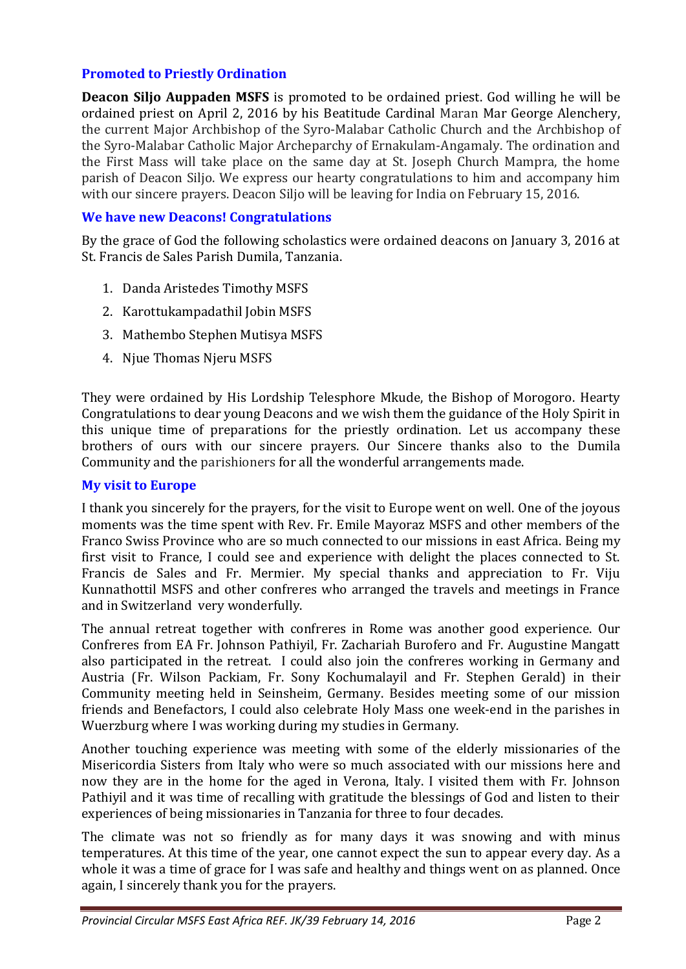# **Promoted to Priestly Ordination**

**Deacon Siljo Auppaden MSFS** is promoted to be ordained priest. God willing he will be ordained priest on April 2, 2016 by his Beatitude Cardinal Maran Mar George Alenchery, the current Major Archbishop of the Syro-Malabar Catholic Church and the Archbishop of the Syro-Malabar Catholic Major Archeparchy of Ernakulam-Angamaly. The ordination and the First Mass will take place on the same day at St. Joseph Church Mampra, the home parish of Deacon Siljo. We express our hearty congratulations to him and accompany him with our sincere prayers. Deacon Siljo will be leaving for India on February 15, 2016.

#### **We have new Deacons! Congratulations**

By the grace of God the following scholastics were ordained deacons on January 3, 2016 at St. Francis de Sales Parish Dumila, Tanzania.

- 1. Danda Aristedes Timothy MSFS
- 2. Karottukampadathil Jobin MSFS
- 3. Mathembo Stephen Mutisya MSFS
- 4. Njue Thomas Njeru MSFS

They were ordained by His Lordship Telesphore Mkude, the Bishop of Morogoro. Hearty Congratulations to dear young Deacons and we wish them the guidance of the Holy Spirit in this unique time of preparations for the priestly ordination. Let us accompany these brothers of ours with our sincere prayers. Our Sincere thanks also to the Dumila Community and the parishioners for all the wonderful arrangements made.

#### **My visit to Europe**

I thank you sincerely for the prayers, for the visit to Europe went on well. One of the joyous moments was the time spent with Rev. Fr. Emile Mayoraz MSFS and other members of the Franco Swiss Province who are so much connected to our missions in east Africa. Being my first visit to France, I could see and experience with delight the places connected to St. Francis de Sales and Fr. Mermier. My special thanks and appreciation to Fr. Viju Kunnathottil MSFS and other confreres who arranged the travels and meetings in France and in Switzerland very wonderfully.

The annual retreat together with confreres in Rome was another good experience. Our Confreres from EA Fr. Johnson Pathiyil, Fr. Zachariah Burofero and Fr. Augustine Mangatt also participated in the retreat. I could also join the confreres working in Germany and Austria (Fr. Wilson Packiam, Fr. Sony Kochumalayil and Fr. Stephen Gerald) in their Community meeting held in Seinsheim, Germany. Besides meeting some of our mission friends and Benefactors, I could also celebrate Holy Mass one week-end in the parishes in Wuerzburg where I was working during my studies in Germany.

Another touching experience was meeting with some of the elderly missionaries of the Misericordia Sisters from Italy who were so much associated with our missions here and now they are in the home for the aged in Verona, Italy. I visited them with Fr. Johnson Pathiyil and it was time of recalling with gratitude the blessings of God and listen to their experiences of being missionaries in Tanzania for three to four decades.

The climate was not so friendly as for many days it was snowing and with minus temperatures. At this time of the year, one cannot expect the sun to appear every day. As a whole it was a time of grace for I was safe and healthy and things went on as planned. Once again, I sincerely thank you for the prayers.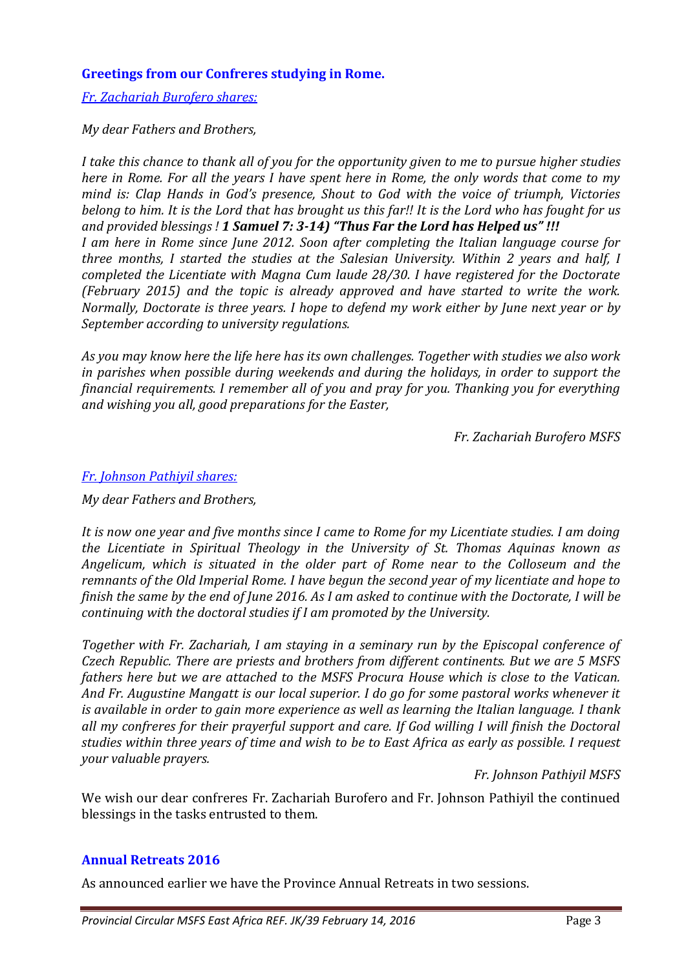## **Greetings from our Confreres studying in Rome.**

*Fr. Zachariah Burofero shares:* 

*My dear Fathers and Brothers,* 

*I take this chance to thank all of you for the opportunity given to me to pursue higher studies here in Rome. For all the years I have spent here in Rome, the only words that come to my mind is: Clap Hands in God's presence, Shout to God with the voice of triumph, Victories belong to him. It is the Lord that has brought us this far!! It is the Lord who has fought for us and provided blessings ! 1 Samuel 7: 3-14) "Thus Far the Lord has Helped us" !!! I am here in Rome since June 2012. Soon after completing the Italian language course for three months, I started the studies at the Salesian University. Within 2 years and half, I completed the Licentiate with Magna Cum laude 28/30. I have registered for the Doctorate (February 2015) and the topic is already approved and have started to write the work. Normally, Doctorate is three years. I hope to defend my work either by June next year or by September according to university regulations.*

*As you may know here the life here has its own challenges. Together with studies we also work in parishes when possible during weekends and during the holidays, in order to support the financial requirements. I remember all of you and pray for you. Thanking you for everything and wishing you all, good preparations for the Easter,* 

*Fr. Zachariah Burofero MSFS*

#### *Fr. Johnson Pathiyil shares:*

*My dear Fathers and Brothers,* 

*It is now one year and five months since I came to Rome for my Licentiate studies. I am doing the Licentiate in Spiritual Theology in the University of St. Thomas Aquinas known as Angelicum, which is situated in the older part of Rome near to the Colloseum and the remnants of the Old Imperial Rome. I have begun the second year of my licentiate and hope to finish the same by the end of June 2016. As I am asked to continue with the Doctorate, I will be continuing with the doctoral studies if I am promoted by the University.* 

*Together with Fr. Zachariah, I am staying in a seminary run by the Episcopal conference of Czech Republic. There are priests and brothers from different continents. But we are 5 MSFS fathers here but we are attached to the MSFS Procura House which is close to the Vatican. And Fr. Augustine Mangatt is our local superior. I do go for some pastoral works whenever it is available in order to gain more experience as well as learning the Italian language. I thank all my confreres for their prayerful support and care. If God willing I will finish the Doctoral studies within three years of time and wish to be to East Africa as early as possible. I request your valuable prayers.*

*Fr. Johnson Pathiyil MSFS*

We wish our dear confreres Fr. Zachariah Burofero and Fr. Johnson Pathiyil the continued blessings in the tasks entrusted to them.

# **Annual Retreats 2016**

As announced earlier we have the Province Annual Retreats in two sessions.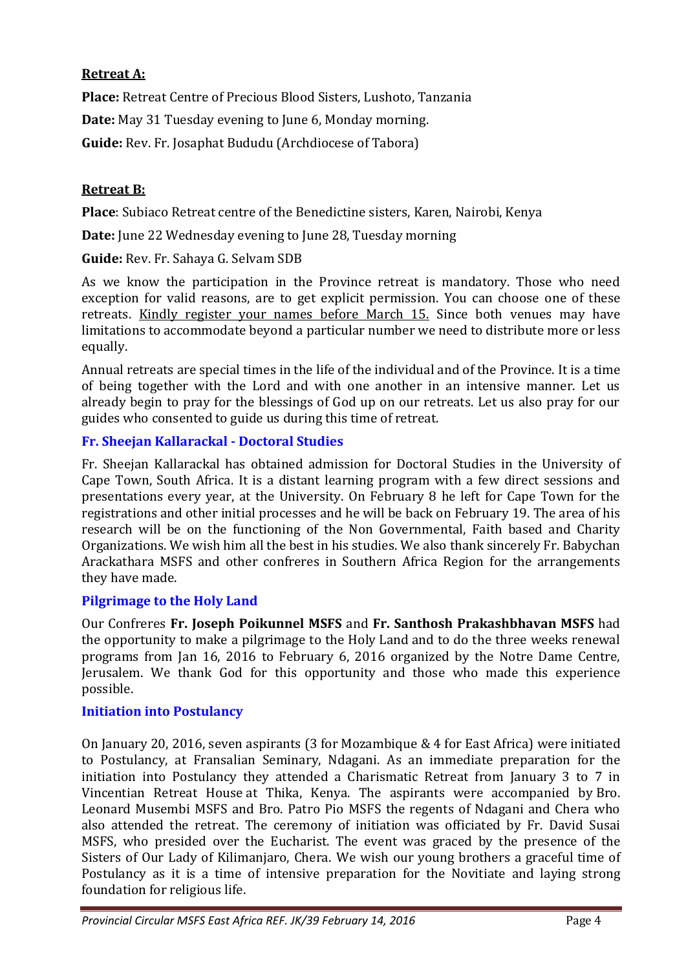# **Retreat A:**

**Place:** Retreat Centre of Precious Blood Sisters, Lushoto, Tanzania

**Date:** May 31 Tuesday evening to June 6, Monday morning.

**Guide:** Rev. Fr. Josaphat Bududu (Archdiocese of Tabora)

# **Retreat B:**

**Place**: Subiaco Retreat centre of the Benedictine sisters, Karen, Nairobi, Kenya

**Date:** June 22 Wednesday evening to June 28, Tuesday morning

**Guide:** Rev. Fr. Sahaya G. Selvam SDB

As we know the participation in the Province retreat is mandatory. Those who need exception for valid reasons, are to get explicit permission. You can choose one of these retreats. Kindly register your names before March 15. Since both venues may have limitations to accommodate beyond a particular number we need to distribute more or less equally.

Annual retreats are special times in the life of the individual and of the Province. It is a time of being together with the Lord and with one another in an intensive manner. Let us already begin to pray for the blessings of God up on our retreats. Let us also pray for our guides who consented to guide us during this time of retreat.

# **Fr. Sheejan Kallarackal - Doctoral Studies**

Fr. Sheejan Kallarackal has obtained admission for Doctoral Studies in the University of Cape Town, South Africa. It is a distant learning program with a few direct sessions and presentations every year, at the University. On February 8 he left for Cape Town for the registrations and other initial processes and he will be back on February 19. The area of his research will be on the functioning of the Non Governmental, Faith based and Charity Organizations. We wish him all the best in his studies. We also thank sincerely Fr. Babychan Arackathara MSFS and other confreres in Southern Africa Region for the arrangements they have made.

# **Pilgrimage to the Holy Land**

Our Confreres **Fr. Joseph Poikunnel MSFS** and **Fr. Santhosh Prakashbhavan MSFS** had the opportunity to make a pilgrimage to the Holy Land and to do the three weeks renewal programs from Jan 16, 2016 to February 6, 2016 organized by the Notre Dame Centre, Jerusalem. We thank God for this opportunity and those who made this experience possible.

# **Initiation into Postulancy**

On January 20, 2016, seven aspirants (3 for Mozambique & 4 for East Africa) were initiated to Postulancy, at Fransalian Seminary, Ndagani. As an immediate preparation for the initiation into Postulancy they attended a Charismatic Retreat from January 3 to 7 in Vincentian Retreat House at Thika, Kenya. The aspirants were accompanied by Bro. Leonard Musembi MSFS and Bro. Patro Pio MSFS the regents of Ndagani and Chera who also attended the retreat. The ceremony of initiation was officiated by Fr. David Susai MSFS, who presided over the Eucharist. The event was graced by the presence of the Sisters of Our Lady of Kilimanjaro, Chera. We wish our young brothers a graceful time of Postulancy as it is a time of intensive preparation for the Novitiate and laying strong foundation for religious life.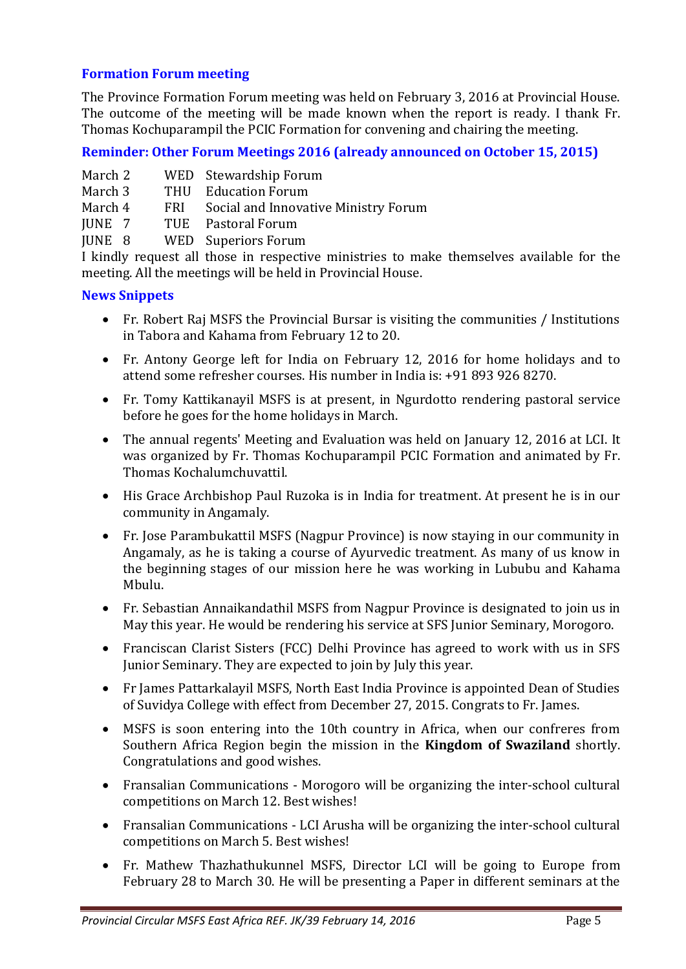## **Formation Forum meeting**

The Province Formation Forum meeting was held on February 3, 2016 at Provincial House. The outcome of the meeting will be made known when the report is ready. I thank Fr. Thomas Kochuparampil the PCIC Formation for convening and chairing the meeting.

## **Reminder: Other Forum Meetings 2016 (already announced on October 15, 2015)**

|  | March 2 |  | WED Stewardship Forum |
|--|---------|--|-----------------------|
|--|---------|--|-----------------------|

- March 3 THU Education Forum
- March 4 FRI Social and Innovative Ministry Forum
- JUNE 7 TUE Pastoral Forum

JUNE 8 WED Superiors Forum

I kindly request all those in respective ministries to make themselves available for the meeting. All the meetings will be held in Provincial House.

#### **News Snippets**

- Fr. Robert Raj MSFS the Provincial Bursar is visiting the communities / Institutions in Tabora and Kahama from February 12 to 20.
- Fr. Antony George left for India on February 12, 2016 for home holidays and to attend some refresher courses. His number in India is: +91 893 926 8270.
- Fr. Tomy Kattikanayil MSFS is at present, in Ngurdotto rendering pastoral service before he goes for the home holidays in March.
- The annual regents' Meeting and Evaluation was held on January 12, 2016 at LCI. It was organized by Fr. Thomas Kochuparampil PCIC Formation and animated by Fr. Thomas Kochalumchuvattil.
- His Grace Archbishop Paul Ruzoka is in India for treatment. At present he is in our community in Angamaly.
- Fr. Jose Parambukattil MSFS (Nagpur Province) is now staying in our community in Angamaly, as he is taking a course of Ayurvedic treatment. As many of us know in the beginning stages of our mission here he was working in Lububu and Kahama Mbulu.
- Fr. Sebastian Annaikandathil MSFS from Nagpur Province is designated to join us in May this year. He would be rendering his service at SFS Junior Seminary, Morogoro.
- Franciscan Clarist Sisters (FCC) Delhi Province has agreed to work with us in SFS Junior Seminary. They are expected to join by July this year.
- Fr James Pattarkalayil MSFS, North East India Province is appointed Dean of Studies of Suvidya College with effect from December 27, 2015. Congrats to Fr. James.
- MSFS is soon entering into the 10th country in Africa, when our confreres from Southern Africa Region begin the mission in the **Kingdom of Swaziland** shortly. Congratulations and good wishes.
- Fransalian Communications Morogoro will be organizing the inter-school cultural competitions on March 12. Best wishes!
- Fransalian Communications LCI Arusha will be organizing the inter-school cultural competitions on March 5. Best wishes!
- Fr. Mathew Thazhathukunnel MSFS, Director LCI will be going to Europe from February 28 to March 30. He will be presenting a Paper in different seminars at the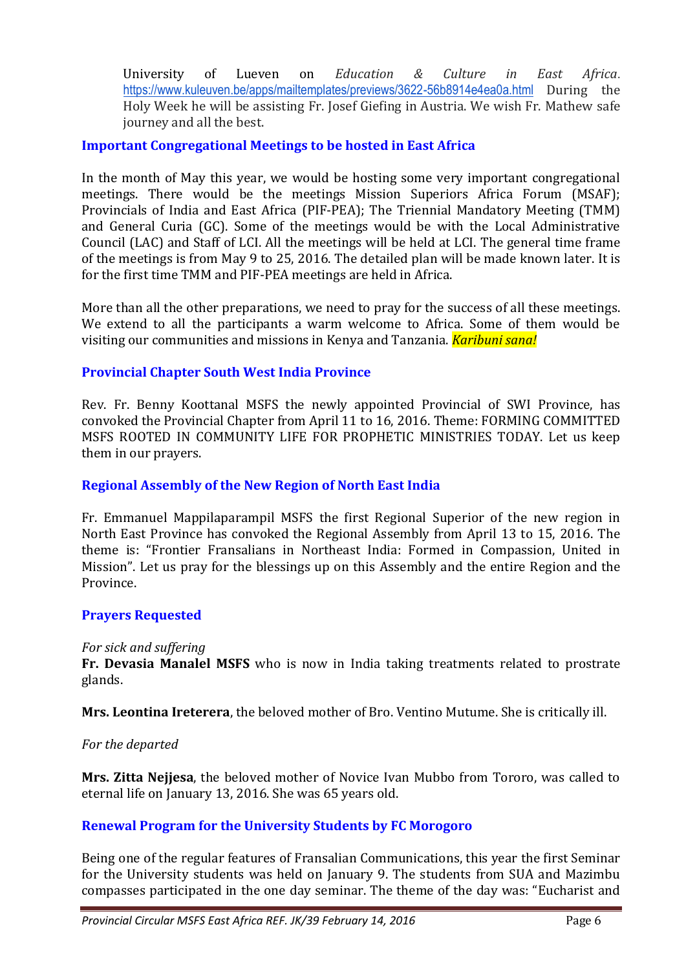University of Lueven on *Education & Culture in East Africa*. <https://www.kuleuven.be/apps/mailtemplates/previews/3622-56b8914e4ea0a.html> During the Holy Week he will be assisting Fr. Josef Giefing in Austria. We wish Fr. Mathew safe journey and all the best.

## **Important Congregational Meetings to be hosted in East Africa**

In the month of May this year, we would be hosting some very important congregational meetings. There would be the meetings Mission Superiors Africa Forum (MSAF); Provincials of India and East Africa (PIF-PEA); The Triennial Mandatory Meeting (TMM) and General Curia (GC). Some of the meetings would be with the Local Administrative Council (LAC) and Staff of LCI. All the meetings will be held at LCI. The general time frame of the meetings is from May 9 to 25, 2016. The detailed plan will be made known later. It is for the first time TMM and PIF-PEA meetings are held in Africa.

More than all the other preparations, we need to pray for the success of all these meetings. We extend to all the participants a warm welcome to Africa. Some of them would be visiting our communities and missions in Kenya and Tanzania. *Karibuni sana!*

# **Provincial Chapter South West India Province**

Rev. Fr. Benny Koottanal MSFS the newly appointed Provincial of SWI Province, has convoked the Provincial Chapter from April 11 to 16, 2016. Theme: FORMING COMMITTED MSFS ROOTED IN COMMUNITY LIFE FOR PROPHETIC MINISTRIES TODAY. Let us keep them in our prayers.

#### **Regional Assembly of the New Region of North East India**

Fr. Emmanuel Mappilaparampil MSFS the first Regional Superior of the new region in North East Province has convoked the Regional Assembly from April 13 to 15, 2016. The theme is: "Frontier Fransalians in Northeast India: Formed in Compassion, United in Mission". Let us pray for the blessings up on this Assembly and the entire Region and the Province.

#### **Prayers Requested**

#### *For sick and suffering*

**Fr. Devasia Manalel MSFS** who is now in India taking treatments related to prostrate glands.

**Mrs. Leontina Ireterera**, the beloved mother of Bro. Ventino Mutume. She is critically ill.

#### *For the departed*

**Mrs. Zitta Nejjesa**, the beloved mother of Novice Ivan Mubbo from Tororo, was called to eternal life on January 13, 2016. She was 65 years old.

#### **Renewal Program for the University Students by FC Morogoro**

Being one of the regular features of Fransalian Communications, this year the first Seminar for the University students was held on January 9. The students from SUA and Mazimbu compasses participated in the one day seminar. The theme of the day was: "Eucharist and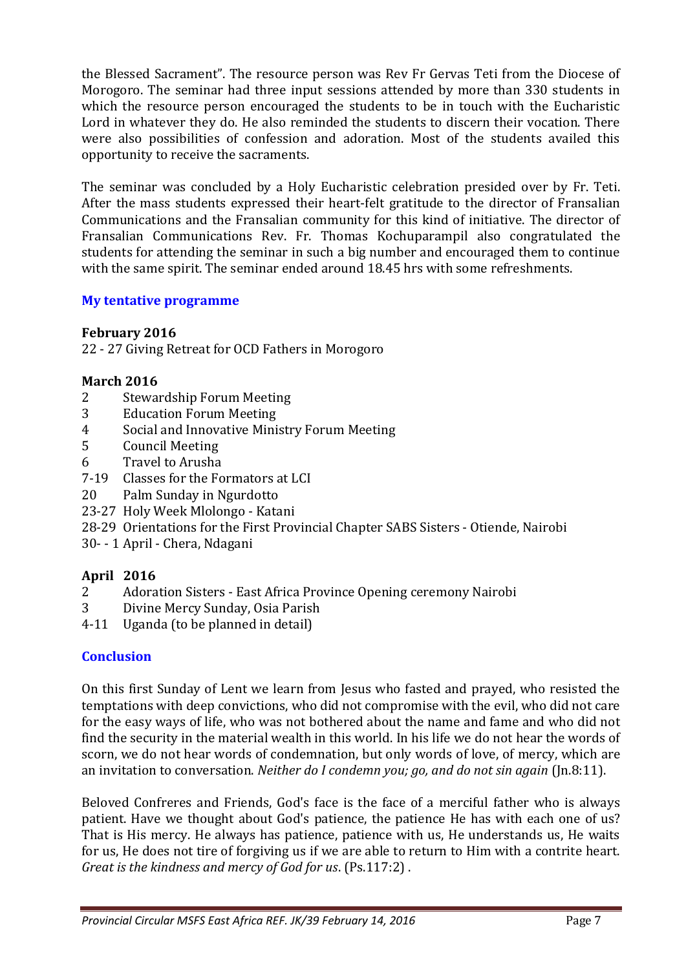the Blessed Sacrament". The resource person was Rev Fr Gervas Teti from the Diocese of Morogoro. The seminar had three input sessions attended by more than 330 students in which the resource person encouraged the students to be in touch with the Eucharistic Lord in whatever they do. He also reminded the students to discern their vocation. There were also possibilities of confession and adoration. Most of the students availed this opportunity to receive the sacraments.

The seminar was concluded by a Holy Eucharistic celebration presided over by Fr. Teti. After the mass students expressed their heart-felt gratitude to the director of Fransalian Communications and the Fransalian community for this kind of initiative. The director of Fransalian Communications Rev. Fr. Thomas Kochuparampil also congratulated the students for attending the seminar in such a big number and encouraged them to continue with the same spirit. The seminar ended around 18.45 hrs with some refreshments.

## **My tentative programme**

## **February 2016**

22 - 27 Giving Retreat for OCD Fathers in Morogoro

# **March 2016**

- 2 Stewardship Forum Meeting
- 3 Education Forum Meeting
- 4 Social and Innovative Ministry Forum Meeting
- 5 Council Meeting
- 6 Travel to Arusha
- 7-19 Classes for the Formators at LCI
- 20 Palm Sunday in Ngurdotto
- 23-27 Holy Week Mlolongo Katani
- 28-29 Orientations for the First Provincial Chapter SABS Sisters Otiende, Nairobi
- 30- 1 April Chera, Ndagani

# **April 2016**

- 2 Adoration Sisters East Africa Province Opening ceremony Nairobi
- 3 Divine Mercy Sunday, Osia Parish
- 4-11 Uganda (to be planned in detail)

# **Conclusion**

On this first Sunday of Lent we learn from Jesus who fasted and prayed, who resisted the temptations with deep convictions, who did not compromise with the evil, who did not care for the easy ways of life, who was not bothered about the name and fame and who did not find the security in the material wealth in this world. In his life we do not hear the words of scorn, we do not hear words of condemnation, but only words of love, of mercy, which are an invitation to conversation. *Neither do I condemn you; go, and do not sin again* (Jn.8:11).

Beloved Confreres and Friends, God's face is the face of a merciful father who is always patient. Have we thought about God's patience, the patience He has with each one of us? That is His mercy. He always has patience, patience with us, He understands us, He waits for us, He does not tire of forgiving us if we are able to return to Him with a contrite heart. *Great is the kindness and mercy of God for us*. (Ps.117:2) .